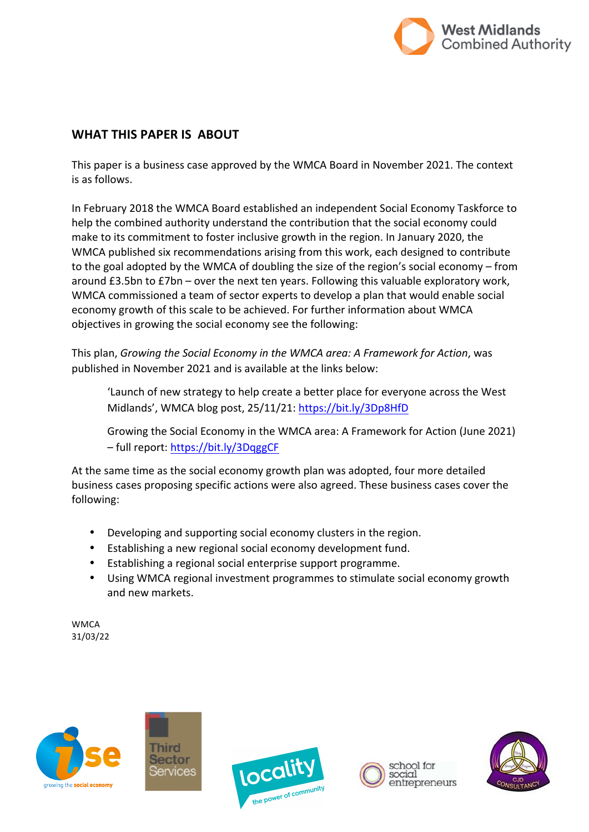

### WHAT THIS PAPER IS ABOUT

This paper is a business case approved by the WMCA Board in November 2021. The context is as follows.

In February 2018 the WMCA Board established an independent Social Economy Taskforce to help the combined authority understand the contribution that the social economy could make to its commitment to foster inclusive growth in the region. In January 2020, the WMCA published six recommendations arising from this work, each designed to contribute to the goal adopted by the WMCA of doubling the size of the region's social economy – from around  $£3.5$ bn to  $£7$ bn – over the next ten years. Following this valuable exploratory work, WMCA commissioned a team of sector experts to develop a plan that would enable social economy growth of this scale to be achieved. For further information about WMCA objectives in growing the social economy see the following:

This plan, *Growing the Social Economy in the WMCA area: A Framework for Action*, was published in November 2021 and is available at the links below:

'Launch of new strategy to help create a better place for everyone across the West Midlands', WMCA blog post, 25/11/21: https://bit.ly/3Dp8HfD

Growing the Social Economy in the WMCA area: A Framework for Action (June 2021) – full report: https://bit.ly/3DqggCF

At the same time as the social economy growth plan was adopted, four more detailed business cases proposing specific actions were also agreed. These business cases cover the following:

- Developing and supporting social economy clusters in the region.
- Establishing a new regional social economy development fund.
- Establishing a regional social enterprise support programme.
- Using WMCA regional investment programmes to stimulate social economy growth and new markets.

**WMCA** 31/03/22









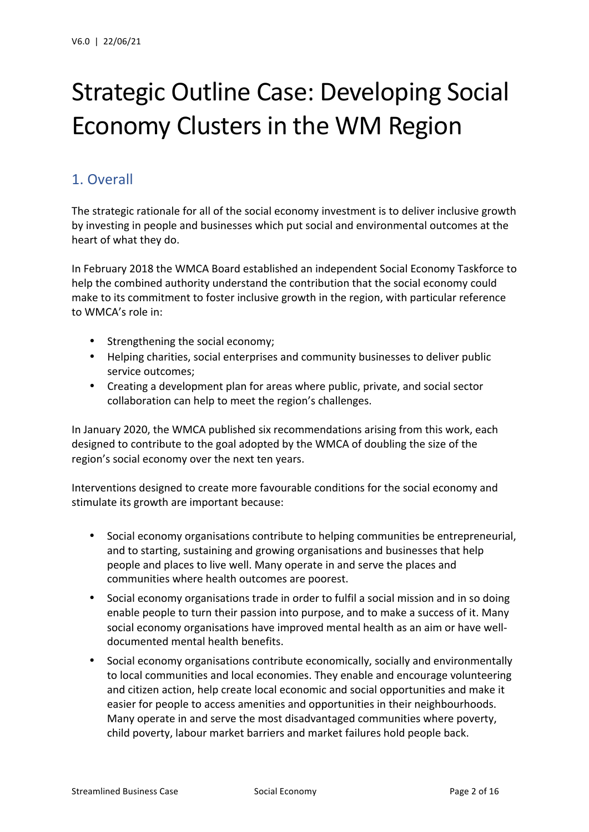# Strategic Outline Case: Developing Social Economy Clusters in the WM Region

## 1. Overall

The strategic rationale for all of the social economy investment is to deliver inclusive growth by investing in people and businesses which put social and environmental outcomes at the heart of what they do.

In February 2018 the WMCA Board established an independent Social Economy Taskforce to help the combined authority understand the contribution that the social economy could make to its commitment to foster inclusive growth in the region, with particular reference to WMCA's role in:

- Strengthening the social economy;
- Helping charities, social enterprises and community businesses to deliver public service outcomes;
- Creating a development plan for areas where public, private, and social sector collaboration can help to meet the region's challenges.

In January 2020, the WMCA published six recommendations arising from this work, each designed to contribute to the goal adopted by the WMCA of doubling the size of the region's social economy over the next ten years.

Interventions designed to create more favourable conditions for the social economy and stimulate its growth are important because:

- Social economy organisations contribute to helping communities be entrepreneurial, and to starting, sustaining and growing organisations and businesses that help people and places to live well. Many operate in and serve the places and communities where health outcomes are poorest.
- Social economy organisations trade in order to fulfil a social mission and in so doing enable people to turn their passion into purpose, and to make a success of it. Many social economy organisations have improved mental health as an aim or have welldocumented mental health benefits.
- Social economy organisations contribute economically, socially and environmentally to local communities and local economies. They enable and encourage volunteering and citizen action, help create local economic and social opportunities and make it easier for people to access amenities and opportunities in their neighbourhoods. Many operate in and serve the most disadvantaged communities where poverty, child poverty, labour market barriers and market failures hold people back.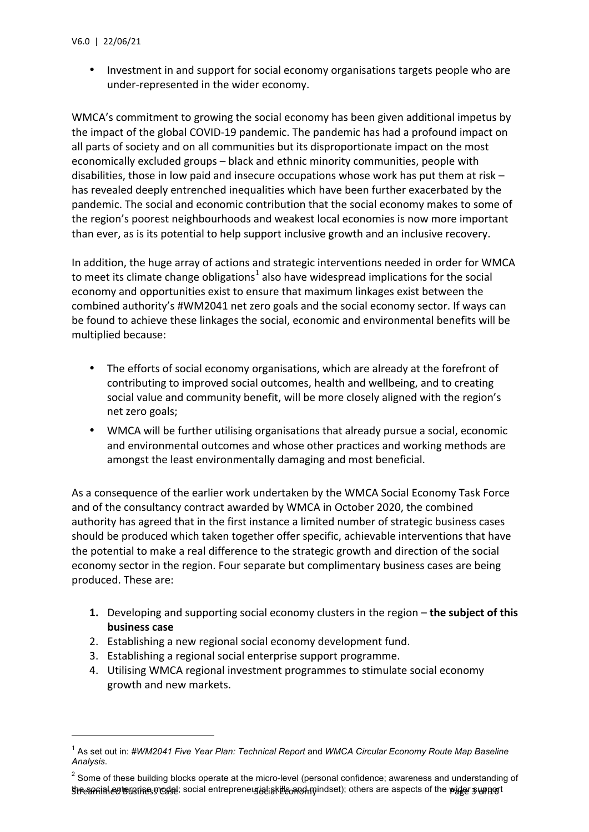• Investment in and support for social economy organisations targets people who are under-represented in the wider economy.

WMCA's commitment to growing the social economy has been given additional impetus by the impact of the global COVID-19 pandemic. The pandemic has had a profound impact on all parts of society and on all communities but its disproportionate impact on the most economically excluded groups – black and ethnic minority communities, people with disabilities, those in low paid and insecure occupations whose work has put them at risk  $$ has revealed deeply entrenched inequalities which have been further exacerbated by the pandemic. The social and economic contribution that the social economy makes to some of the region's poorest neighbourhoods and weakest local economies is now more important than ever, as is its potential to help support inclusive growth and an inclusive recovery.

In addition, the huge array of actions and strategic interventions needed in order for WMCA to meet its climate change obligations<sup>1</sup> also have widespread implications for the social economy and opportunities exist to ensure that maximum linkages exist between the combined authority's #WM2041 net zero goals and the social economy sector. If ways can be found to achieve these linkages the social, economic and environmental benefits will be multiplied because:

- The efforts of social economy organisations, which are already at the forefront of contributing to improved social outcomes, health and wellbeing, and to creating social value and community benefit, will be more closely aligned with the region's net zero goals;
- WMCA will be further utilising organisations that already pursue a social, economic and environmental outcomes and whose other practices and working methods are amongst the least environmentally damaging and most beneficial.

As a consequence of the earlier work undertaken by the WMCA Social Economy Task Force and of the consultancy contract awarded by WMCA in October 2020, the combined authority has agreed that in the first instance a limited number of strategic business cases should be produced which taken together offer specific, achievable interventions that have the potential to make a real difference to the strategic growth and direction of the social economy sector in the region. Four separate but complimentary business cases are being produced. These are:

- **1.** Developing and supporting social economy clusters in the region the subject of this **business case**
- 2. Establishing a new regional social economy development fund.
- 3. Establishing a regional social enterprise support programme.

<u> 1989 - Johann Barn, mars ann an t-Amhain an t-Amhain an t-Amhain an t-Amhain an t-Amhain an t-Amhain an t-Amh</u>

4. Utilising WMCA regional investment programmes to stimulate social economy growth and new markets.

<sup>1</sup> As set out in: *#WM2041 Five Year Plan: Technical Report* and *WMCA Circular Economy Route Map Baseline Analysis*.

the sofial enterprise model; social entrepreneurial skille and mindset); others are aspects of the wider ջարդզո  $<sup>2</sup>$  Some of these building blocks operate at the micro-level (personal confidence; awareness and understanding of</sup>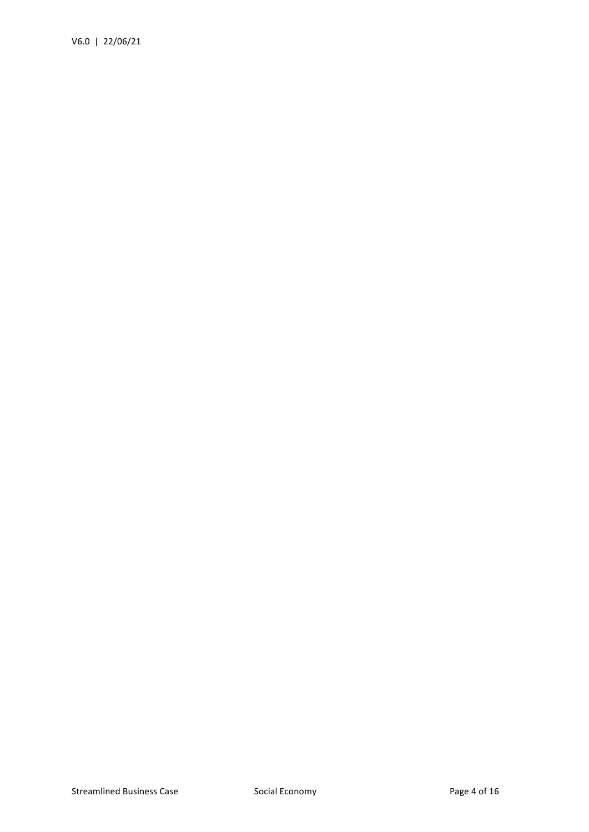$V6.0$  | 22/06/21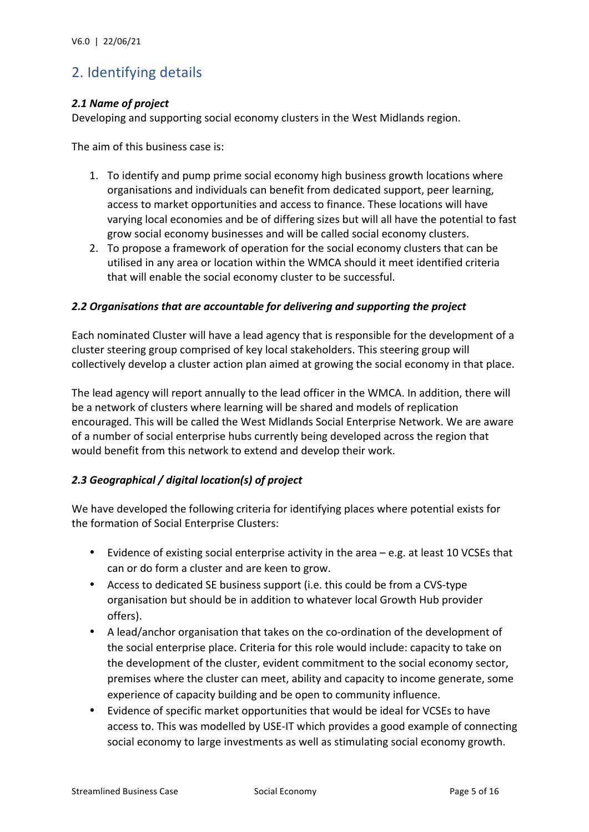# 2. Identifying details

### *2.1 Name of project*

Developing and supporting social economy clusters in the West Midlands region.

The aim of this business case is:

- 1. To identify and pump prime social economy high business growth locations where organisations and individuals can benefit from dedicated support, peer learning, access to market opportunities and access to finance. These locations will have varying local economies and be of differing sizes but will all have the potential to fast grow social economy businesses and will be called social economy clusters.
- 2. To propose a framework of operation for the social economy clusters that can be utilised in any area or location within the WMCA should it meet identified criteria that will enable the social economy cluster to be successful.

### *2.2 Organisations that are accountable for delivering and supporting the project*

Each nominated Cluster will have a lead agency that is responsible for the development of a cluster steering group comprised of key local stakeholders. This steering group will collectively develop a cluster action plan aimed at growing the social economy in that place.

The lead agency will report annually to the lead officer in the WMCA. In addition, there will be a network of clusters where learning will be shared and models of replication encouraged. This will be called the West Midlands Social Enterprise Network. We are aware of a number of social enterprise hubs currently being developed across the region that would benefit from this network to extend and develop their work.

### 2.3 Geographical / digital location(s) of project

We have developed the following criteria for identifying places where potential exists for the formation of Social Enterprise Clusters:

- Evidence of existing social enterprise activity in the area  $-e.g.$  at least 10 VCSEs that can or do form a cluster and are keen to grow.
- Access to dedicated SE business support (i.e. this could be from a CVS-type organisation but should be in addition to whatever local Growth Hub provider offers).
- A lead/anchor organisation that takes on the co-ordination of the development of the social enterprise place. Criteria for this role would include: capacity to take on the development of the cluster, evident commitment to the social economy sector, premises where the cluster can meet, ability and capacity to income generate, some experience of capacity building and be open to community influence.
- Evidence of specific market opportunities that would be ideal for VCSEs to have access to. This was modelled by USE-IT which provides a good example of connecting social economy to large investments as well as stimulating social economy growth.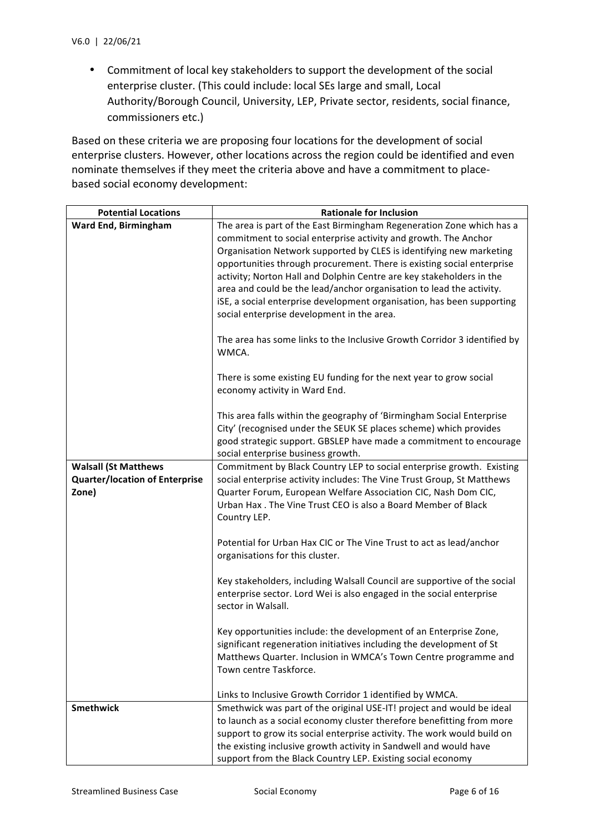• Commitment of local key stakeholders to support the development of the social enterprise cluster. (This could include: local SEs large and small, Local Authority/Borough Council, University, LEP, Private sector, residents, social finance, commissioners etc.)

Based on these criteria we are proposing four locations for the development of social enterprise clusters. However, other locations across the region could be identified and even nominate themselves if they meet the criteria above and have a commitment to placebased social economy development:

| <b>Potential Locations</b>            | <b>Rationale for Inclusion</b>                                                                                                                 |  |  |  |  |
|---------------------------------------|------------------------------------------------------------------------------------------------------------------------------------------------|--|--|--|--|
| Ward End, Birmingham                  | The area is part of the East Birmingham Regeneration Zone which has a                                                                          |  |  |  |  |
|                                       | commitment to social enterprise activity and growth. The Anchor                                                                                |  |  |  |  |
|                                       | Organisation Network supported by CLES is identifying new marketing                                                                            |  |  |  |  |
|                                       | opportunities through procurement. There is existing social enterprise<br>activity; Norton Hall and Dolphin Centre are key stakeholders in the |  |  |  |  |
|                                       | area and could be the lead/anchor organisation to lead the activity.                                                                           |  |  |  |  |
|                                       | iSE, a social enterprise development organisation, has been supporting                                                                         |  |  |  |  |
|                                       | social enterprise development in the area.                                                                                                     |  |  |  |  |
|                                       |                                                                                                                                                |  |  |  |  |
|                                       | The area has some links to the Inclusive Growth Corridor 3 identified by                                                                       |  |  |  |  |
|                                       | WMCA.                                                                                                                                          |  |  |  |  |
|                                       | There is some existing EU funding for the next year to grow social                                                                             |  |  |  |  |
|                                       | economy activity in Ward End.                                                                                                                  |  |  |  |  |
|                                       | This area falls within the geography of 'Birmingham Social Enterprise                                                                          |  |  |  |  |
|                                       | City' (recognised under the SEUK SE places scheme) which provides                                                                              |  |  |  |  |
|                                       | good strategic support. GBSLEP have made a commitment to encourage                                                                             |  |  |  |  |
|                                       | social enterprise business growth.                                                                                                             |  |  |  |  |
| <b>Walsall (St Matthews</b>           | Commitment by Black Country LEP to social enterprise growth. Existing                                                                          |  |  |  |  |
| <b>Quarter/location of Enterprise</b> | social enterprise activity includes: The Vine Trust Group, St Matthews                                                                         |  |  |  |  |
| Zone)                                 | Quarter Forum, European Welfare Association CIC, Nash Dom CIC,<br>Urban Hax. The Vine Trust CEO is also a Board Member of Black                |  |  |  |  |
|                                       | Country LEP.                                                                                                                                   |  |  |  |  |
|                                       |                                                                                                                                                |  |  |  |  |
|                                       | Potential for Urban Hax CIC or The Vine Trust to act as lead/anchor                                                                            |  |  |  |  |
|                                       | organisations for this cluster.                                                                                                                |  |  |  |  |
|                                       |                                                                                                                                                |  |  |  |  |
|                                       | Key stakeholders, including Walsall Council are supportive of the social                                                                       |  |  |  |  |
|                                       | enterprise sector. Lord Wei is also engaged in the social enterprise<br>sector in Walsall.                                                     |  |  |  |  |
|                                       |                                                                                                                                                |  |  |  |  |
|                                       | Key opportunities include: the development of an Enterprise Zone,                                                                              |  |  |  |  |
|                                       | significant regeneration initiatives including the development of St                                                                           |  |  |  |  |
|                                       | Matthews Quarter. Inclusion in WMCA's Town Centre programme and                                                                                |  |  |  |  |
|                                       | Town centre Taskforce.                                                                                                                         |  |  |  |  |
|                                       | Links to Inclusive Growth Corridor 1 identified by WMCA.                                                                                       |  |  |  |  |
| <b>Smethwick</b>                      | Smethwick was part of the original USE-IT! project and would be ideal                                                                          |  |  |  |  |
|                                       | to launch as a social economy cluster therefore benefitting from more                                                                          |  |  |  |  |
|                                       | support to grow its social enterprise activity. The work would build on                                                                        |  |  |  |  |
|                                       | the existing inclusive growth activity in Sandwell and would have                                                                              |  |  |  |  |
|                                       | support from the Black Country LEP. Existing social economy                                                                                    |  |  |  |  |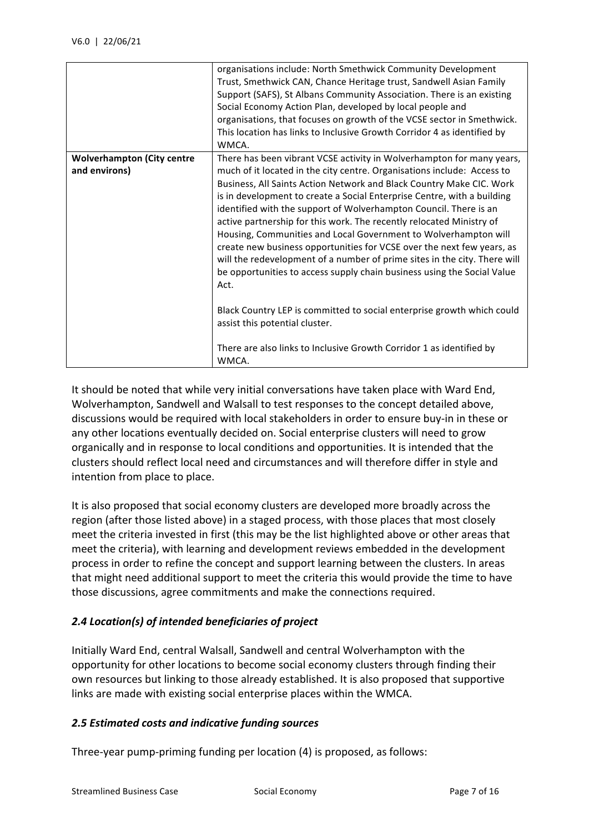|                                                    | organisations include: North Smethwick Community Development<br>Trust, Smethwick CAN, Chance Heritage trust, Sandwell Asian Family<br>Support (SAFS), St Albans Community Association. There is an existing<br>Social Economy Action Plan, developed by local people and<br>organisations, that focuses on growth of the VCSE sector in Smethwick.<br>This location has links to Inclusive Growth Corridor 4 as identified by<br>WMCA.                                                                                                                                                                                                                                                                                                                        |
|----------------------------------------------------|---------------------------------------------------------------------------------------------------------------------------------------------------------------------------------------------------------------------------------------------------------------------------------------------------------------------------------------------------------------------------------------------------------------------------------------------------------------------------------------------------------------------------------------------------------------------------------------------------------------------------------------------------------------------------------------------------------------------------------------------------------------|
| <b>Wolverhampton (City centre</b><br>and environs) | There has been vibrant VCSE activity in Wolverhampton for many years,<br>much of it located in the city centre. Organisations include: Access to<br>Business, All Saints Action Network and Black Country Make CIC. Work<br>is in development to create a Social Enterprise Centre, with a building<br>identified with the support of Wolverhampton Council. There is an<br>active partnership for this work. The recently relocated Ministry of<br>Housing, Communities and Local Government to Wolverhampton will<br>create new business opportunities for VCSE over the next few years, as<br>will the redevelopment of a number of prime sites in the city. There will<br>be opportunities to access supply chain business using the Social Value<br>Act. |
|                                                    | Black Country LEP is committed to social enterprise growth which could<br>assist this potential cluster.                                                                                                                                                                                                                                                                                                                                                                                                                                                                                                                                                                                                                                                      |
|                                                    | There are also links to Inclusive Growth Corridor 1 as identified by<br>WMCA.                                                                                                                                                                                                                                                                                                                                                                                                                                                                                                                                                                                                                                                                                 |

It should be noted that while very initial conversations have taken place with Ward End, Wolverhampton, Sandwell and Walsall to test responses to the concept detailed above, discussions would be required with local stakeholders in order to ensure buy-in in these or any other locations eventually decided on. Social enterprise clusters will need to grow organically and in response to local conditions and opportunities. It is intended that the clusters should reflect local need and circumstances and will therefore differ in style and intention from place to place.

It is also proposed that social economy clusters are developed more broadly across the region (after those listed above) in a staged process, with those places that most closely meet the criteria invested in first (this may be the list highlighted above or other areas that meet the criteria), with learning and development reviews embedded in the development process in order to refine the concept and support learning between the clusters. In areas that might need additional support to meet the criteria this would provide the time to have those discussions, agree commitments and make the connections required.

### 2.4 Location(s) of intended beneficiaries of project

Initially Ward End, central Walsall, Sandwell and central Wolverhampton with the opportunity for other locations to become social economy clusters through finding their own resources but linking to those already established. It is also proposed that supportive links are made with existing social enterprise places within the WMCA.

### *2.5 Estimated costs and indicative funding sources*

Three-year pump-priming funding per location (4) is proposed, as follows: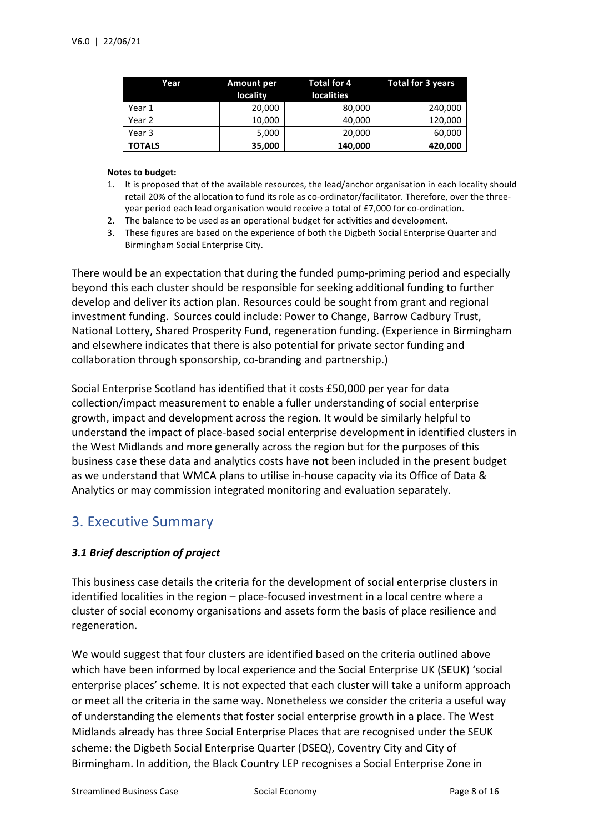| Year   | Amount per<br>locality | <b>Total for 4</b><br><b>localities</b> | <b>Total for 3 years</b> |
|--------|------------------------|-----------------------------------------|--------------------------|
| Year 1 | 20,000                 | 80,000                                  | 240,000                  |
| Year 2 | 10,000                 | 40,000                                  | 120,000                  |
| Year 3 | 5,000                  | 20,000                                  | 60,000                   |
| TOTALS | 35,000                 | 140,000                                 | 420,000                  |

#### **Notes to budget:**

- 1. It is proposed that of the available resources, the lead/anchor organisation in each locality should retail 20% of the allocation to fund its role as co-ordinator/facilitator. Therefore, over the threeyear period each lead organisation would receive a total of £7,000 for co-ordination.
- 2. The balance to be used as an operational budget for activities and development.
- 3. These figures are based on the experience of both the Digbeth Social Enterprise Quarter and Birmingham Social Enterprise City.

There would be an expectation that during the funded pump-priming period and especially beyond this each cluster should be responsible for seeking additional funding to further develop and deliver its action plan. Resources could be sought from grant and regional investment funding. Sources could include: Power to Change, Barrow Cadbury Trust, National Lottery, Shared Prosperity Fund, regeneration funding. (Experience in Birmingham and elsewhere indicates that there is also potential for private sector funding and collaboration through sponsorship, co-branding and partnership.)

Social Enterprise Scotland has identified that it costs £50,000 per year for data collection/impact measurement to enable a fuller understanding of social enterprise growth, impact and development across the region. It would be similarly helpful to understand the impact of place-based social enterprise development in identified clusters in the West Midlands and more generally across the region but for the purposes of this business case these data and analytics costs have **not** been included in the present budget as we understand that WMCA plans to utilise in-house capacity via its Office of Data & Analytics or may commission integrated monitoring and evaluation separately.

### 3. Executive Summary

### *3.1 Brief description of project*

This business case details the criteria for the development of social enterprise clusters in identified localities in the region  $-$  place-focused investment in a local centre where a cluster of social economy organisations and assets form the basis of place resilience and regeneration. 

We would suggest that four clusters are identified based on the criteria outlined above which have been informed by local experience and the Social Enterprise UK (SEUK) 'social enterprise places' scheme. It is not expected that each cluster will take a uniform approach or meet all the criteria in the same way. Nonetheless we consider the criteria a useful way of understanding the elements that foster social enterprise growth in a place. The West Midlands already has three Social Enterprise Places that are recognised under the SEUK scheme: the Digbeth Social Enterprise Quarter (DSEQ), Coventry City and City of Birmingham. In addition, the Black Country LEP recognises a Social Enterprise Zone in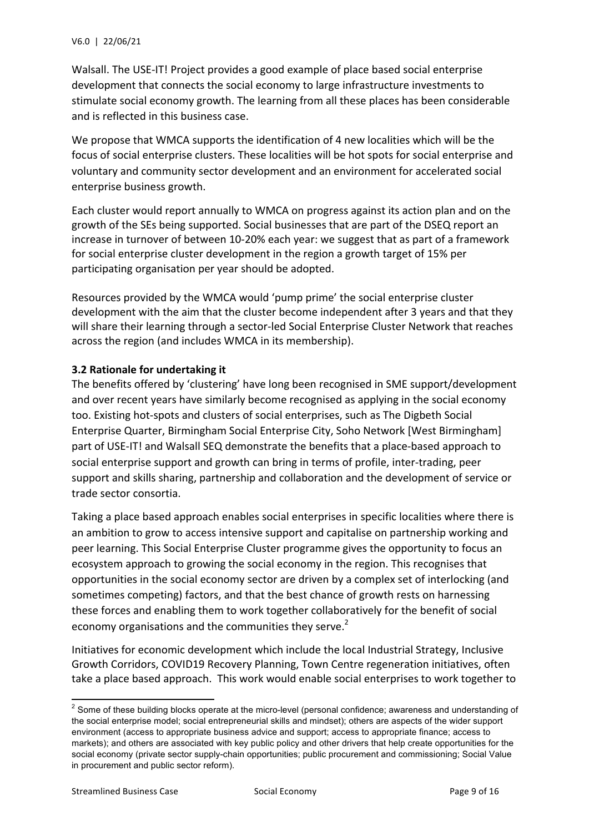Walsall. The USE-IT! Project provides a good example of place based social enterprise development that connects the social economy to large infrastructure investments to stimulate social economy growth. The learning from all these places has been considerable and is reflected in this business case.

We propose that WMCA supports the identification of 4 new localities which will be the focus of social enterprise clusters. These localities will be hot spots for social enterprise and voluntary and community sector development and an environment for accelerated social enterprise business growth.

Each cluster would report annually to WMCA on progress against its action plan and on the growth of the SEs being supported. Social businesses that are part of the DSEQ report an increase in turnover of between 10-20% each year: we suggest that as part of a framework for social enterprise cluster development in the region a growth target of 15% per participating organisation per year should be adopted.

Resources provided by the WMCA would 'pump prime' the social enterprise cluster development with the aim that the cluster become independent after 3 years and that they will share their learning through a sector-led Social Enterprise Cluster Network that reaches across the region (and includes WMCA in its membership).

### **3.2 Rationale for undertaking it**

The benefits offered by 'clustering' have long been recognised in SME support/development and over recent years have similarly become recognised as applying in the social economy too. Existing hot-spots and clusters of social enterprises, such as The Digbeth Social Enterprise Quarter, Birmingham Social Enterprise City, Soho Network [West Birmingham] part of USE-IT! and Walsall SEQ demonstrate the benefits that a place-based approach to social enterprise support and growth can bring in terms of profile, inter-trading, peer support and skills sharing, partnership and collaboration and the development of service or trade sector consortia.

Taking a place based approach enables social enterprises in specific localities where there is an ambition to grow to access intensive support and capitalise on partnership working and peer learning. This Social Enterprise Cluster programme gives the opportunity to focus an ecosystem approach to growing the social economy in the region. This recognises that opportunities in the social economy sector are driven by a complex set of interlocking (and sometimes competing) factors, and that the best chance of growth rests on harnessing these forces and enabling them to work together collaboratively for the benefit of social economy organisations and the communities they serve.<sup>2</sup>

Initiatives for economic development which include the local Industrial Strategy, Inclusive Growth Corridors, COVID19 Recovery Planning, Town Centre regeneration initiatives, often take a place based approach. This work would enable social enterprises to work together to

 $2$  Some of these building blocks operate at the micro-level (personal confidence; awareness and understanding of the social enterprise model; social entrepreneurial skills and mindset); others are aspects of the wider support environment (access to appropriate business advice and support; access to appropriate finance; access to markets); and others are associated with key public policy and other drivers that help create opportunities for the social economy (private sector supply-chain opportunities; public procurement and commissioning; Social Value in procurement and public sector reform).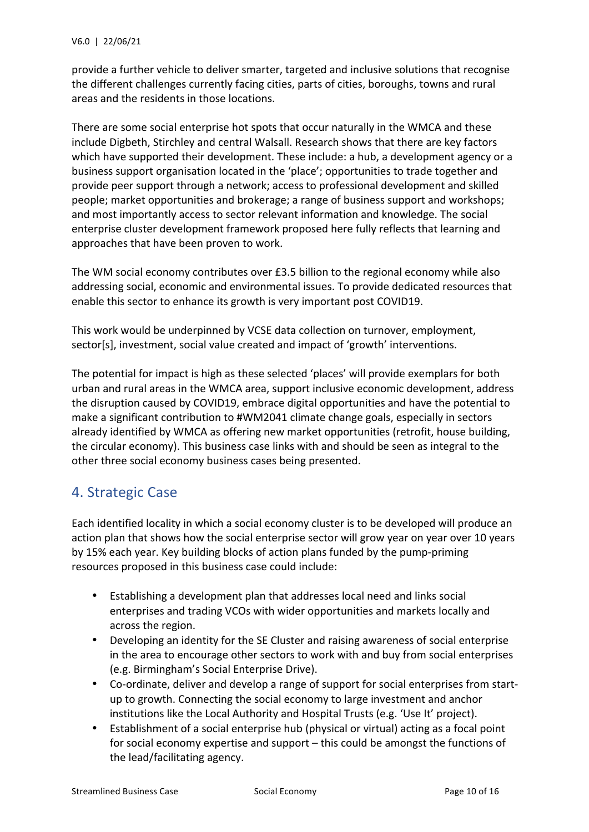provide a further vehicle to deliver smarter, targeted and inclusive solutions that recognise the different challenges currently facing cities, parts of cities, boroughs, towns and rural areas and the residents in those locations.

There are some social enterprise hot spots that occur naturally in the WMCA and these include Digbeth, Stirchley and central Walsall. Research shows that there are key factors which have supported their development. These include: a hub, a development agency or a business support organisation located in the 'place'; opportunities to trade together and provide peer support through a network; access to professional development and skilled people; market opportunities and brokerage; a range of business support and workshops; and most importantly access to sector relevant information and knowledge. The social enterprise cluster development framework proposed here fully reflects that learning and approaches that have been proven to work.

The WM social economy contributes over  $£3.5$  billion to the regional economy while also addressing social, economic and environmental issues. To provide dedicated resources that enable this sector to enhance its growth is very important post COVID19.

This work would be underpinned by VCSE data collection on turnover, employment, sector[s], investment, social value created and impact of 'growth' interventions.

The potential for impact is high as these selected 'places' will provide exemplars for both urban and rural areas in the WMCA area, support inclusive economic development, address the disruption caused by COVID19, embrace digital opportunities and have the potential to make a significant contribution to #WM2041 climate change goals, especially in sectors already identified by WMCA as offering new market opportunities (retrofit, house building, the circular economy). This business case links with and should be seen as integral to the other three social economy business cases being presented.

### 4. Strategic Case

Each identified locality in which a social economy cluster is to be developed will produce an action plan that shows how the social enterprise sector will grow year on year over 10 years by 15% each year. Key building blocks of action plans funded by the pump-priming resources proposed in this business case could include:

- Establishing a development plan that addresses local need and links social enterprises and trading VCOs with wider opportunities and markets locally and across the region.
- Developing an identity for the SE Cluster and raising awareness of social enterprise in the area to encourage other sectors to work with and buy from social enterprises (e.g. Birmingham's Social Enterprise Drive).
- Co-ordinate, deliver and develop a range of support for social enterprises from startup to growth. Connecting the social economy to large investment and anchor institutions like the Local Authority and Hospital Trusts (e.g. 'Use It' project).
- Establishment of a social enterprise hub (physical or virtual) acting as a focal point for social economy expertise and support  $-$  this could be amongst the functions of the lead/facilitating agency.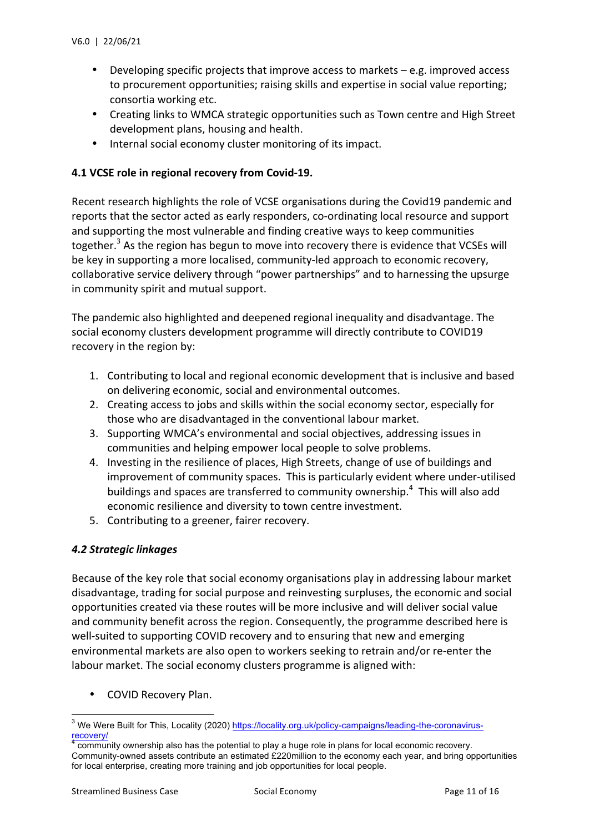- Developing specific projects that improve access to markets  $-$  e.g. improved access to procurement opportunities; raising skills and expertise in social value reporting; consortia working etc.
- Creating links to WMCA strategic opportunities such as Town centre and High Street development plans, housing and health.
- Internal social economy cluster monitoring of its impact.

### 4.1 VCSE role in regional recovery from Covid-19.

Recent research highlights the role of VCSE organisations during the Covid19 pandemic and reports that the sector acted as early responders, co-ordinating local resource and support and supporting the most vulnerable and finding creative ways to keep communities together.<sup>3</sup> As the region has begun to move into recovery there is evidence that VCSEs will be key in supporting a more localised, community-led approach to economic recovery, collaborative service delivery through "power partnerships" and to harnessing the upsurge in community spirit and mutual support.

The pandemic also highlighted and deepened regional inequality and disadvantage. The social economy clusters development programme will directly contribute to COVID19 recovery in the region by:

- 1. Contributing to local and regional economic development that is inclusive and based on delivering economic, social and environmental outcomes.
- 2. Creating access to jobs and skills within the social economy sector, especially for those who are disadvantaged in the conventional labour market.
- 3. Supporting WMCA's environmental and social objectives, addressing issues in communities and helping empower local people to solve problems.
- 4. Investing in the resilience of places, High Streets, change of use of buildings and improvement of community spaces. This is particularly evident where under-utilised buildings and spaces are transferred to community ownership.<sup>4</sup> This will also add economic resilience and diversity to town centre investment.
- 5. Contributing to a greener, fairer recovery.

### *4.2 Strategic linkages*

Because of the key role that social economy organisations play in addressing labour market disadvantage, trading for social purpose and reinvesting surpluses, the economic and social opportunities created via these routes will be more inclusive and will deliver social value and community benefit across the region. Consequently, the programme described here is well-suited to supporting COVID recovery and to ensuring that new and emerging environmental markets are also open to workers seeking to retrain and/or re-enter the labour market. The social economy clusters programme is aligned with:

• COVID Recovery Plan.

<sup>&</sup>lt;sup>3</sup> We Were Built for This, Locality (2020) https://locality.org.uk/policy-campaigns/leading-the-coronavirusrecovery/

community ownership also has the potential to play a huge role in plans for local economic recovery. Community-owned assets contribute an estimated £220million to the economy each year, and bring opportunities for local enterprise, creating more training and job opportunities for local people.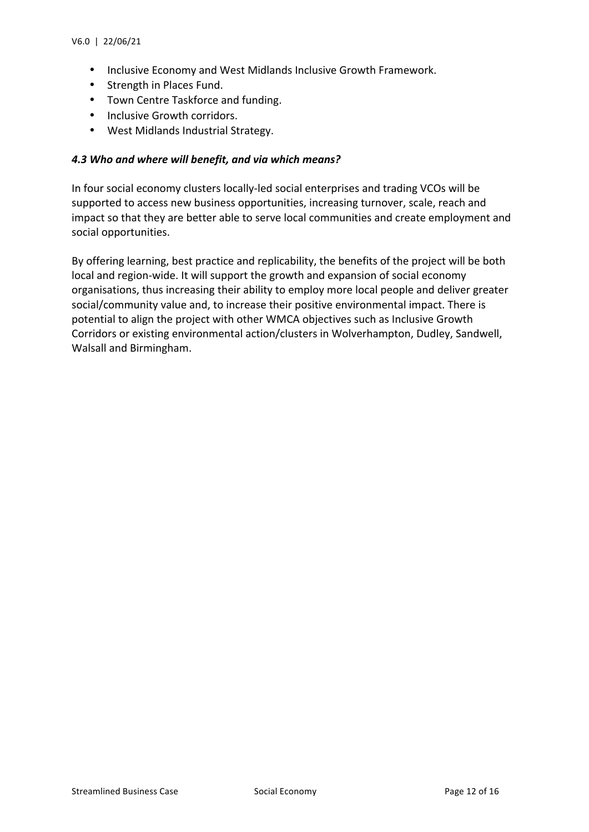- Inclusive Economy and West Midlands Inclusive Growth Framework.
- Strength in Places Fund.
- Town Centre Taskforce and funding.
- Inclusive Growth corridors.
- West Midlands Industrial Strategy.

### *4.3 Who and where will benefit, and via which means?*

In four social economy clusters locally-led social enterprises and trading VCOs will be supported to access new business opportunities, increasing turnover, scale, reach and impact so that they are better able to serve local communities and create employment and social opportunities.

By offering learning, best practice and replicability, the benefits of the project will be both local and region-wide. It will support the growth and expansion of social economy organisations, thus increasing their ability to employ more local people and deliver greater social/community value and, to increase their positive environmental impact. There is potential to align the project with other WMCA objectives such as Inclusive Growth Corridors or existing environmental action/clusters in Wolverhampton, Dudley, Sandwell, Walsall and Birmingham.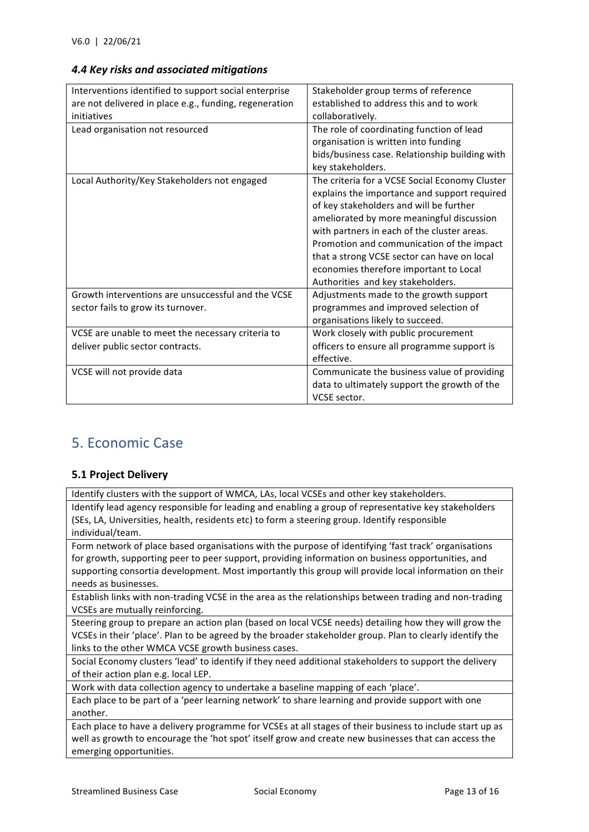| Interventions identified to support social enterprise  | Stakeholder group terms of reference           |  |  |
|--------------------------------------------------------|------------------------------------------------|--|--|
| are not delivered in place e.g., funding, regeneration | established to address this and to work        |  |  |
| initiatives                                            | collaboratively.                               |  |  |
| Lead organisation not resourced                        | The role of coordinating function of lead      |  |  |
|                                                        | organisation is written into funding           |  |  |
|                                                        | bids/business case. Relationship building with |  |  |
|                                                        | key stakeholders.                              |  |  |
| Local Authority/Key Stakeholders not engaged           | The criteria for a VCSE Social Economy Cluster |  |  |
|                                                        | explains the importance and support required   |  |  |
|                                                        | of key stakeholders and will be further        |  |  |
|                                                        | ameliorated by more meaningful discussion      |  |  |
|                                                        | with partners in each of the cluster areas.    |  |  |
|                                                        | Promotion and communication of the impact      |  |  |
|                                                        | that a strong VCSE sector can have on local    |  |  |
|                                                        | economies therefore important to Local         |  |  |
|                                                        | Authorities and key stakeholders.              |  |  |
| Growth interventions are unsuccessful and the VCSE     | Adjustments made to the growth support         |  |  |
| sector fails to grow its turnover.                     | programmes and improved selection of           |  |  |
|                                                        | organisations likely to succeed.               |  |  |
| VCSE are unable to meet the necessary criteria to      | Work closely with public procurement           |  |  |
| deliver public sector contracts.                       | officers to ensure all programme support is    |  |  |
|                                                        | effective.                                     |  |  |
| VCSE will not provide data                             | Communicate the business value of providing    |  |  |
|                                                        | data to ultimately support the growth of the   |  |  |
|                                                        | VCSE sector.                                   |  |  |

### *4.4 Key risks and associated mitigations*

### 5. Economic Case

### **5.1 Project Delivery**

Identify clusters with the support of WMCA, LAs, local VCSEs and other key stakeholders. Identify lead agency responsible for leading and enabling a group of representative key stakeholders (SEs, LA, Universities, health, residents etc) to form a steering group. Identify responsible individual/team. 

Form network of place based organisations with the purpose of identifying 'fast track' organisations for growth, supporting peer to peer support, providing information on business opportunities, and supporting consortia development. Most importantly this group will provide local information on their needs as businesses. 

Establish links with non-trading VCSE in the area as the relationships between trading and non-trading VCSEs are mutually reinforcing.

Steering group to prepare an action plan (based on local VCSE needs) detailing how they will grow the VCSEs in their 'place'. Plan to be agreed by the broader stakeholder group. Plan to clearly identify the links to the other WMCA VCSE growth business cases.

Social Economy clusters 'lead' to identify if they need additional stakeholders to support the delivery of their action plan e.g. local LEP.

Work with data collection agency to undertake a baseline mapping of each 'place'.

Each place to be part of a 'peer learning network' to share learning and provide support with one another. 

Each place to have a delivery programme for VCSEs at all stages of their business to include start up as well as growth to encourage the 'hot spot' itself grow and create new businesses that can access the emerging opportunities.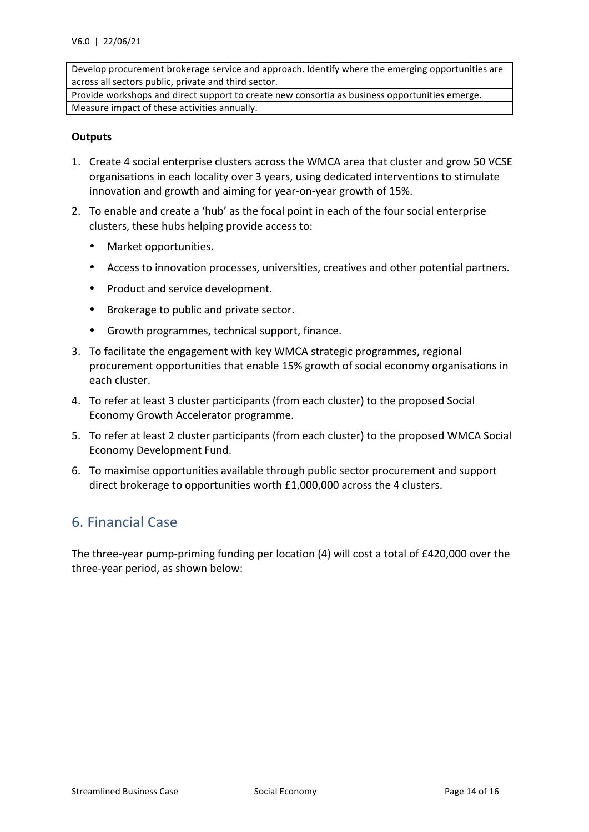Develop procurement brokerage service and approach. Identify where the emerging opportunities are across all sectors public, private and third sector.

Provide workshops and direct support to create new consortia as business opportunities emerge. Measure impact of these activities annually.

#### **Outputs**

- 1. Create 4 social enterprise clusters across the WMCA area that cluster and grow 50 VCSE organisations in each locality over 3 years, using dedicated interventions to stimulate innovation and growth and aiming for year-on-year growth of 15%.
- 2. To enable and create a 'hub' as the focal point in each of the four social enterprise clusters, these hubs helping provide access to:
	- Market opportunities.
	- Access to innovation processes, universities, creatives and other potential partners.
	- Product and service development.
	- Brokerage to public and private sector.
	- Growth programmes, technical support, finance.
- 3. To facilitate the engagement with key WMCA strategic programmes, regional procurement opportunities that enable 15% growth of social economy organisations in each cluster.
- 4. To refer at least 3 cluster participants (from each cluster) to the proposed Social Economy Growth Accelerator programme.
- 5. To refer at least 2 cluster participants (from each cluster) to the proposed WMCA Social Economy Development Fund.
- 6. To maximise opportunities available through public sector procurement and support direct brokerage to opportunities worth £1,000,000 across the 4 clusters.

### 6. Financial Case

The three-year pump-priming funding per location  $(4)$  will cost a total of £420,000 over the three-year period, as shown below: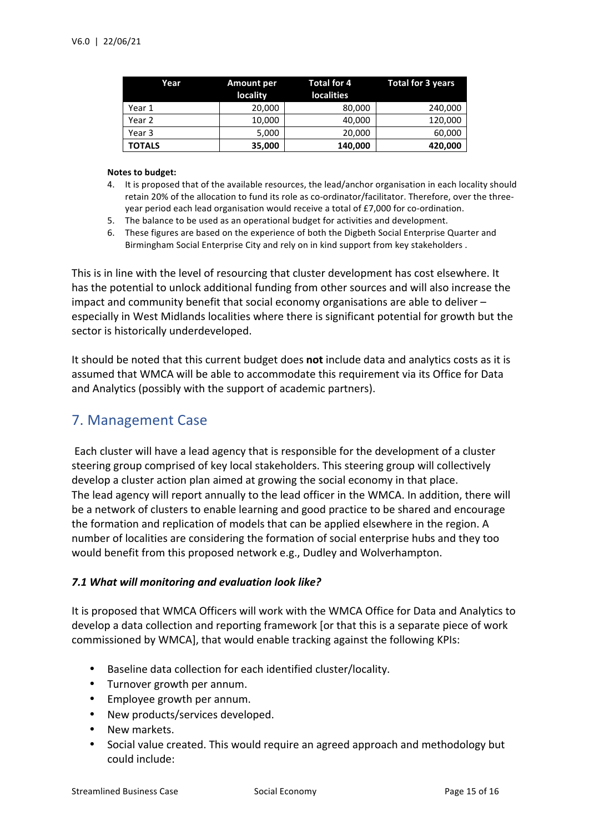| Year          | Amount per<br>locality | <b>Total for 4</b><br><b>localities</b> | <b>Total for 3 years</b> |
|---------------|------------------------|-----------------------------------------|--------------------------|
| Year 1        | 20,000                 | 80,000                                  | 240,000                  |
| Year 2        | 10,000                 | 40,000                                  | 120,000                  |
| Year 3        | 5,000                  | 20,000                                  | 60,000                   |
| <b>TOTALS</b> | 35,000                 | 140,000                                 | 420,000                  |

#### **Notes to budget:**

- 4. It is proposed that of the available resources, the lead/anchor organisation in each locality should retain 20% of the allocation to fund its role as co-ordinator/facilitator. Therefore, over the threeyear period each lead organisation would receive a total of £7,000 for co-ordination.
- 5. The balance to be used as an operational budget for activities and development.
- 6. These figures are based on the experience of both the Digbeth Social Enterprise Quarter and Birmingham Social Enterprise City and rely on in kind support from key stakeholders.

This is in line with the level of resourcing that cluster development has cost elsewhere. It has the potential to unlock additional funding from other sources and will also increase the impact and community benefit that social economy organisations are able to deliver  $$ especially in West Midlands localities where there is significant potential for growth but the sector is historically underdeveloped.

It should be noted that this current budget does **not** include data and analytics costs as it is assumed that WMCA will be able to accommodate this requirement via its Office for Data and Analytics (possibly with the support of academic partners).

### 7. Management Case

Each cluster will have a lead agency that is responsible for the development of a cluster steering group comprised of key local stakeholders. This steering group will collectively develop a cluster action plan aimed at growing the social economy in that place. The lead agency will report annually to the lead officer in the WMCA. In addition, there will be a network of clusters to enable learning and good practice to be shared and encourage the formation and replication of models that can be applied elsewhere in the region. A number of localities are considering the formation of social enterprise hubs and they too would benefit from this proposed network e.g., Dudley and Wolverhampton.

#### *7.1 What will monitoring and evaluation look like?*

It is proposed that WMCA Officers will work with the WMCA Office for Data and Analytics to develop a data collection and reporting framework [or that this is a separate piece of work commissioned by WMCA], that would enable tracking against the following KPIs:

- Baseline data collection for each identified cluster/locality.
- Turnover growth per annum.
- Employee growth per annum.
- New products/services developed.
- New markets.
- Social value created. This would require an agreed approach and methodology but could include: